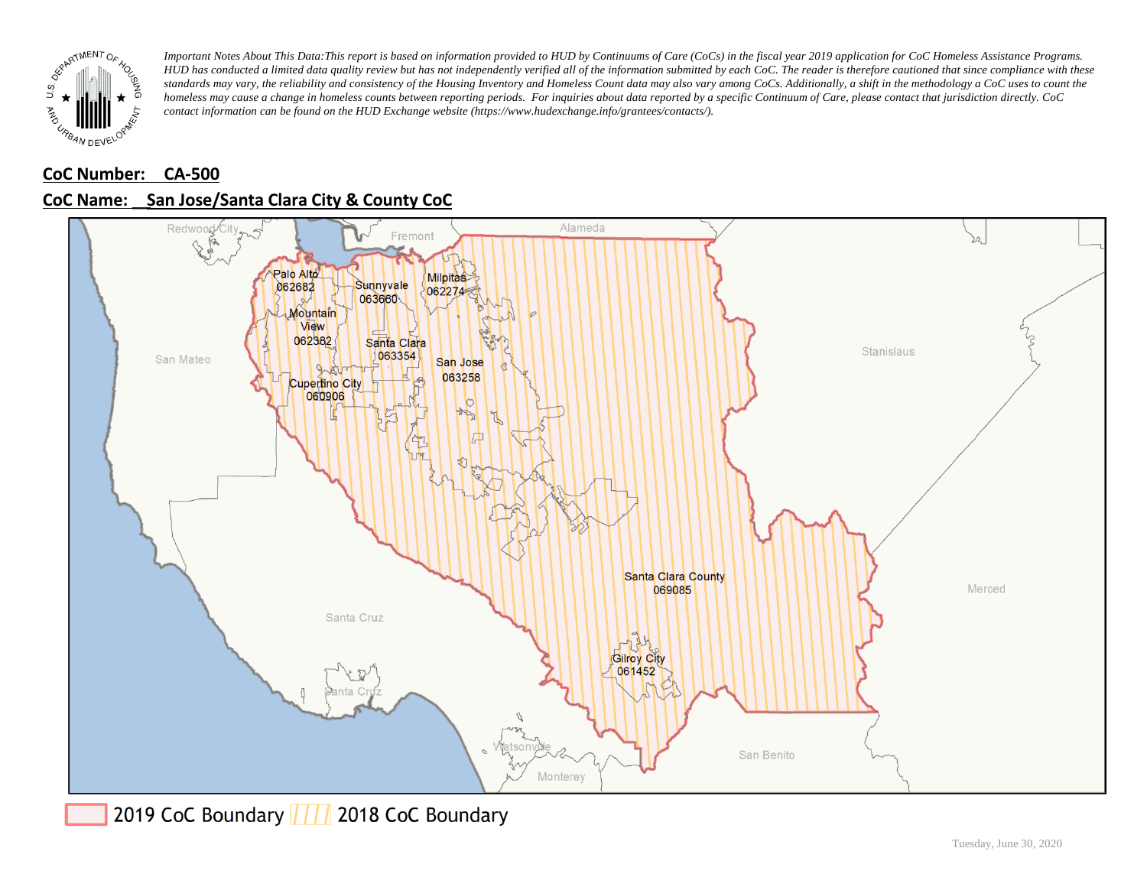

# **CoC Number: CA-500 CoC Name: \_\_ San Jose/Santa Clara City & County CoC**



2019 CoC Boundary | | | 2018 CoC Boundary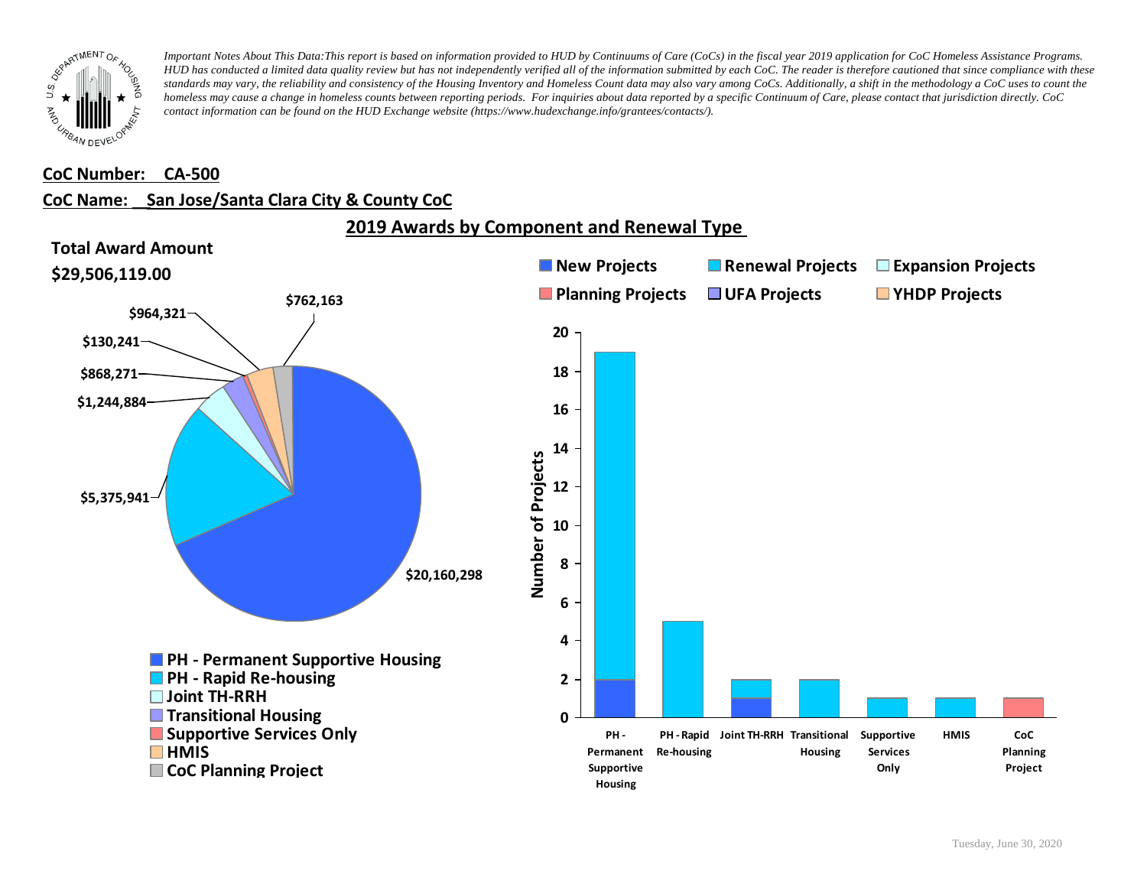

#### **CoC Number: CA-500**

### **CoC Name: \_\_ San Jose/Santa Clara City & County CoC**

**2019 Awards by Component and Renewal Type** 

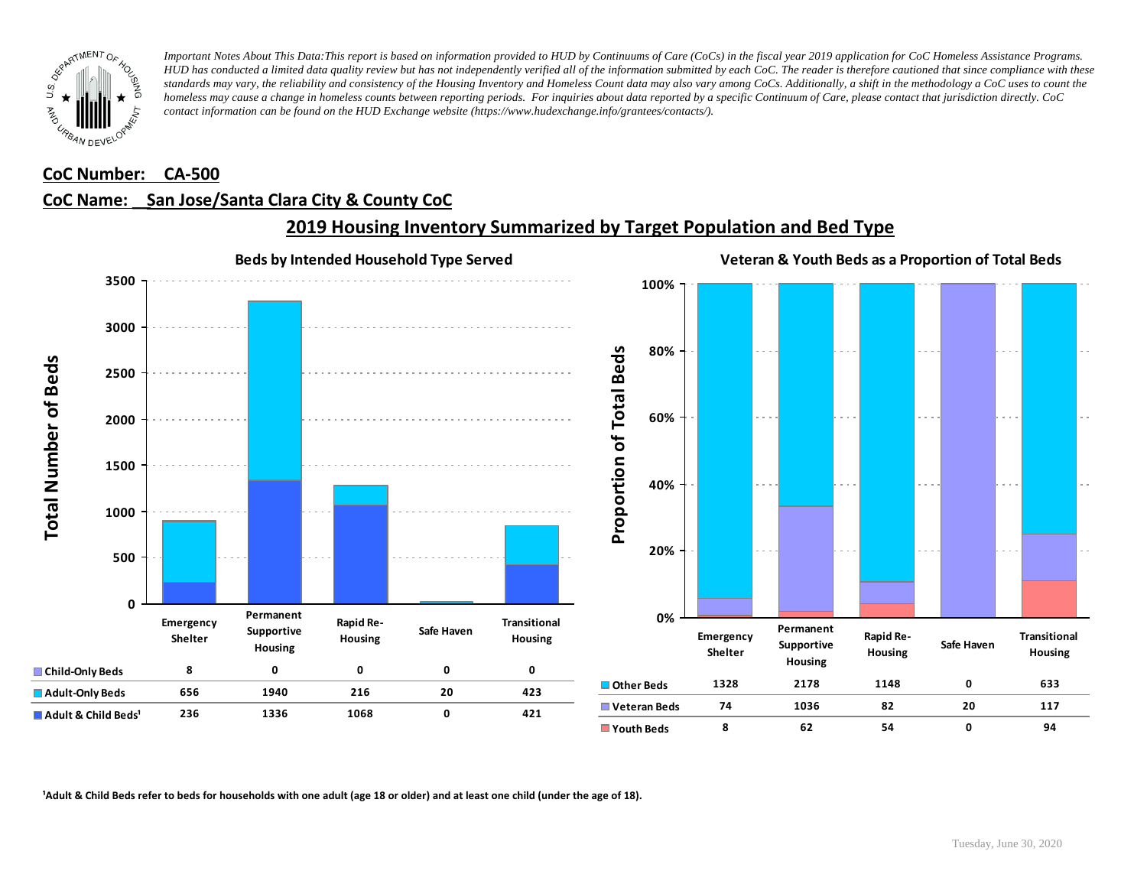

#### **CoC Number: CA-500**

#### **CoC Name: \_\_ San Jose/Santa Clara City & County CoC**



## **2019 Housing Inventory Summarized by Target Population and Bed Type**

<sup>1</sup> Adult & Child Beds refer to beds for households with one adult (age 18 or older) and at least one child (under the age of 18).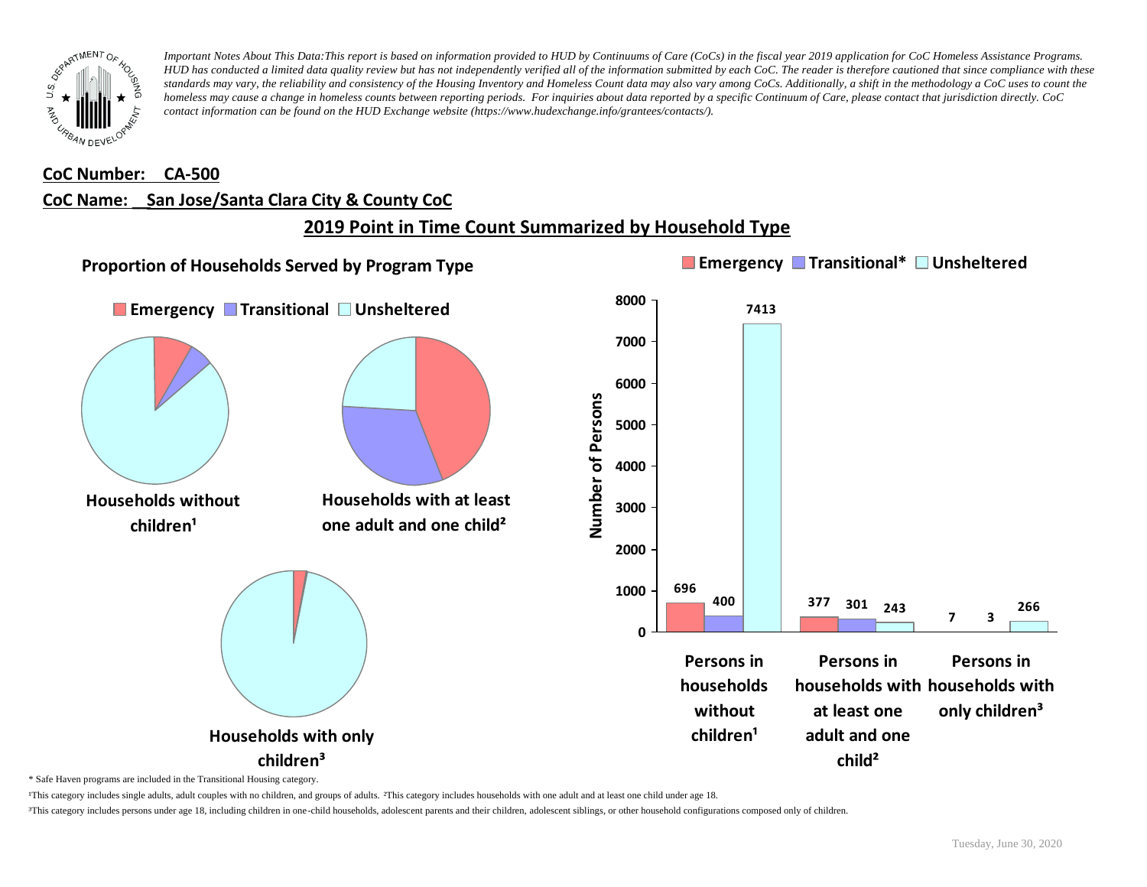

#### **CoC Number: CA-500**

#### **CoC Name: \_\_ San Jose/Santa Clara City & County CoC**

# **2019 Point in Time Count Summarized by Household Type**



\* Safe Haven programs are included in the Transitional Housing category.

¹This category includes single adults, adult couples with no children, and groups of adults. ²This category includes households with one adult and at least one child under age 18.

³This category includes persons under age 18, including children in one-child households, adolescent parents and their children, adolescent siblings, or other household configurations composed only of children.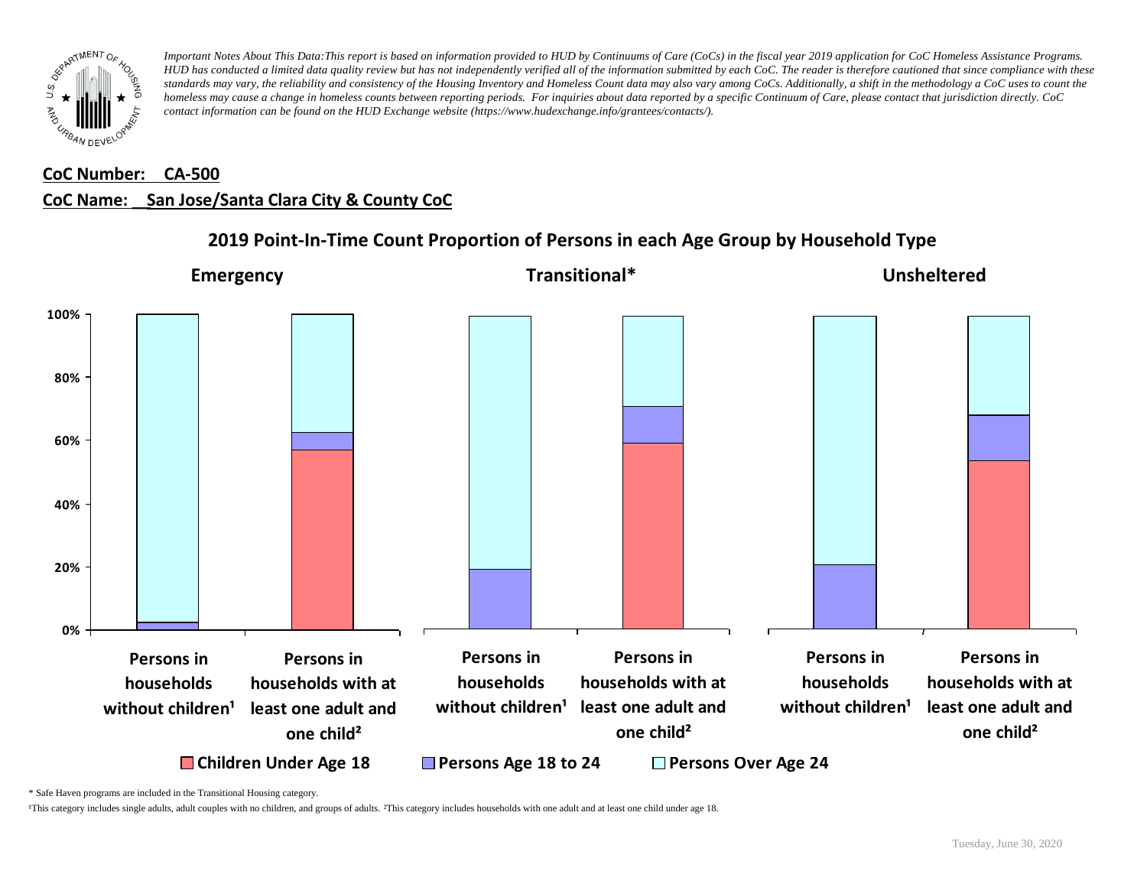

# **CoC Number: CA-500 CoC Name: \_\_ San Jose/Santa Clara City & County CoC**



# **2019 Point-In-Time Count Proportion of Persons in each Age Group by Household Type**

\* Safe Haven programs are included in the Transitional Housing category.

¹This category includes single adults, adult couples with no children, and groups of adults. ²This category includes households with one adult and at least one child under age 18.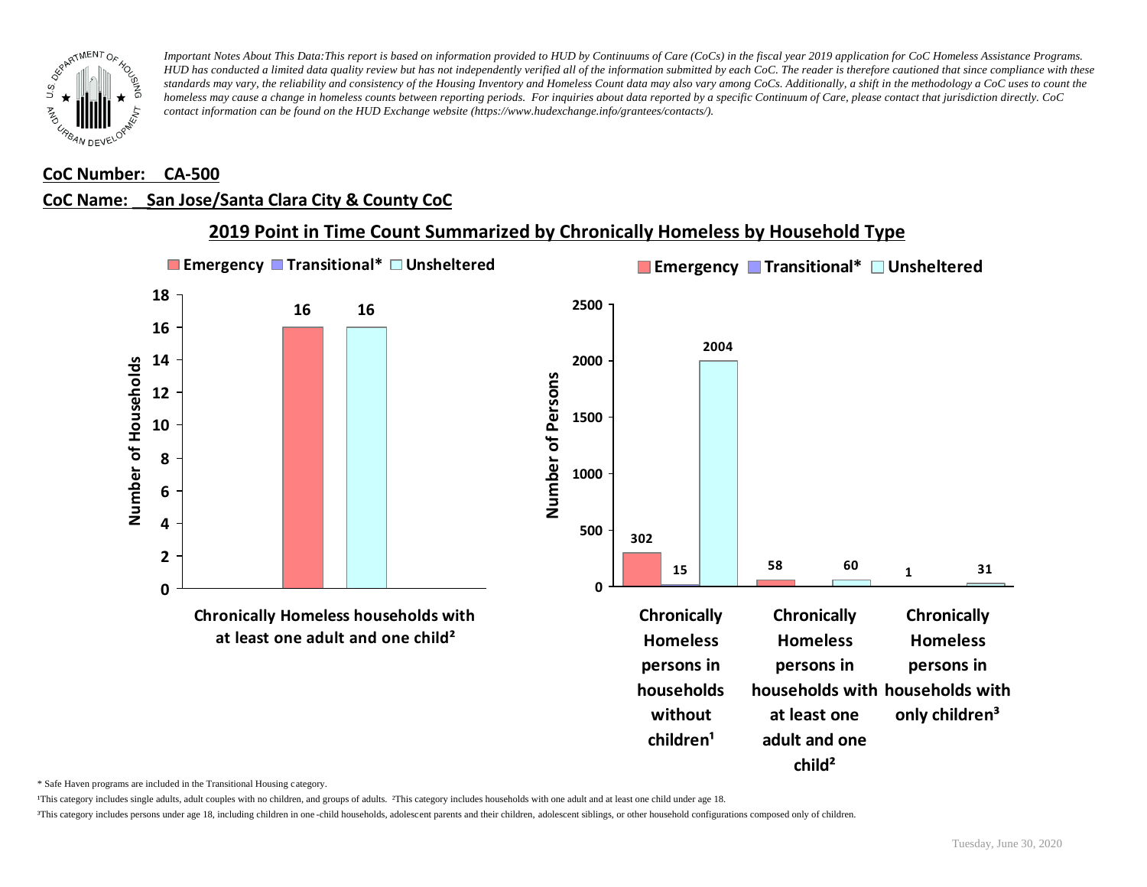

#### **CoC Number: CA-500**

# **CoC Name: \_\_ San Jose/Santa Clara City & County CoC**



\* Safe Haven programs are included in the Transitional Housing category.

¹This category includes single adults, adult couples with no children, and groups of adults. ²This category includes households with one adult and at least one child under age 18.

³This category includes persons under age 18, including children in one -child households, adolescent parents and their children, adolescent siblings, or other household configurations composed only of children.